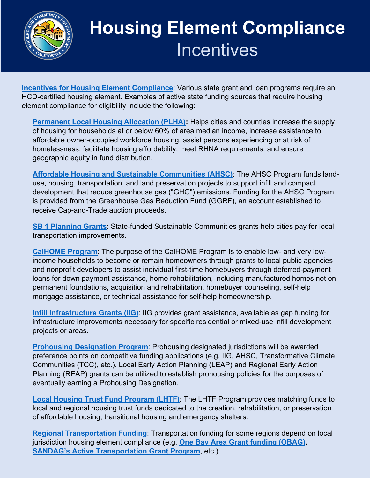

## **Housing Element Compliance Incentives**

**Incentives [for Housing Element Compliance](https://www.hcd.ca.gov/grants-funding/active-funding/index.shtml)**: Various state grant and loan programs require an HCD-certified housing element. Examples of active state funding sources that require housing element compliance for eligibility include the following:

**[Permanent Local Housing](https://www.hcd.ca.gov/grants-funding/active-funding/plha.shtml#assistance) Allocation (PLHA):** Helps cities and counties increase the supply of housing for households at or below 60% of area median income, increase assistance to affordable owner-occupied workforce housing, assist persons experiencing or at risk of homelessness, facilitate housing affordability, meet RHNA requirements, and ensure geographic equity in fund distribution.

**Affordable [Housing and Sustainable Communities \(AHSC\)](https://www.hcd.ca.gov/grants-funding/active-funding/ahsc.shtml)**: The AHSC Program funds landuse, housing, transportation, and land preservation projects to support infill and compact development that reduce greenhouse gas ("GHG") emissions. Funding for the AHSC Program is provided from the Greenhouse Gas Reduction Fund (GGRF), an account established to receive Cap-and-Trade auction proceeds.

: **[SB 1 Planning Grants](https://www.cacities.org/Policy-Advocacy/Hot-Issues/Transportation-Funding)** State-funded Sustainable Communities grants help cities pay for local transportation improvements.

**[CalHOME](https://www.hcd.ca.gov/grants-funding/active-no-funding/calhome.shtml) Program**: The purpose of the CalHOME Program is to enable low- and very lowincome households to become or remain homeowners through grants to local public agencies and nonprofit developers to assist individual first-time homebuyers through deferred-payment loans for down payment assistance, home rehabilitation, including manufactured homes not on permanent foundations, acquisition and rehabilitation, homebuyer counseling, self-help mortgage assistance, or technical assistance for self-help homeownership.

: **[Infill Infrastructure](https://www.hcd.ca.gov/grants-funding/active-funding/iigp.shtml) Grants (IIG)** IIG provides grant assistance, available as gap funding for infrastructure improvements necessary for specific residential or mixed-use infill development projects or areas.

Prohousing [Designation Program](https://www.cacities.org/Top/News/News-Articles/2019/October/HCD-Releases-Framework-Paper-and-Survey-for-Proh): Prohousing designated jurisdictions will be awarded preference points on competitive funding applications (e.g. IIG, AHSC, Transformative Climate Communities (TCC), etc.). Local Early Action Planning (LEAP) and Regional Early Action Planning (REAP) grants can be utilized to establish prohousing policies for the purposes of eventually earning a Prohousing Designation.

: **Local Housing Trust [Fund Program \(LHTF\)](https://www.hcd.ca.gov/grants-funding/active-funding/lhtf.shtml)** The LHTF Program provides matching funds to local and regional housing trust funds dedicated to the creation, rehabilitation, or preservation of affordable housing, transitional housing and emergency shelters.

: **Regional Transportation Funding** Transportation funding for some regions depend on local jurisdiction housing element compliance (e.g. **[One Bay Area Grant funding \(OBAG\),](https://mtc.ca.gov/our-work/fund-invest/investment-strategies-commitments/focused-growth/one-bay-area-grants) [SANDAG's Active Transportation Grant Program](https://www.sandag.org/organization/about/pubs/policy_033.pdf)**, etc.).